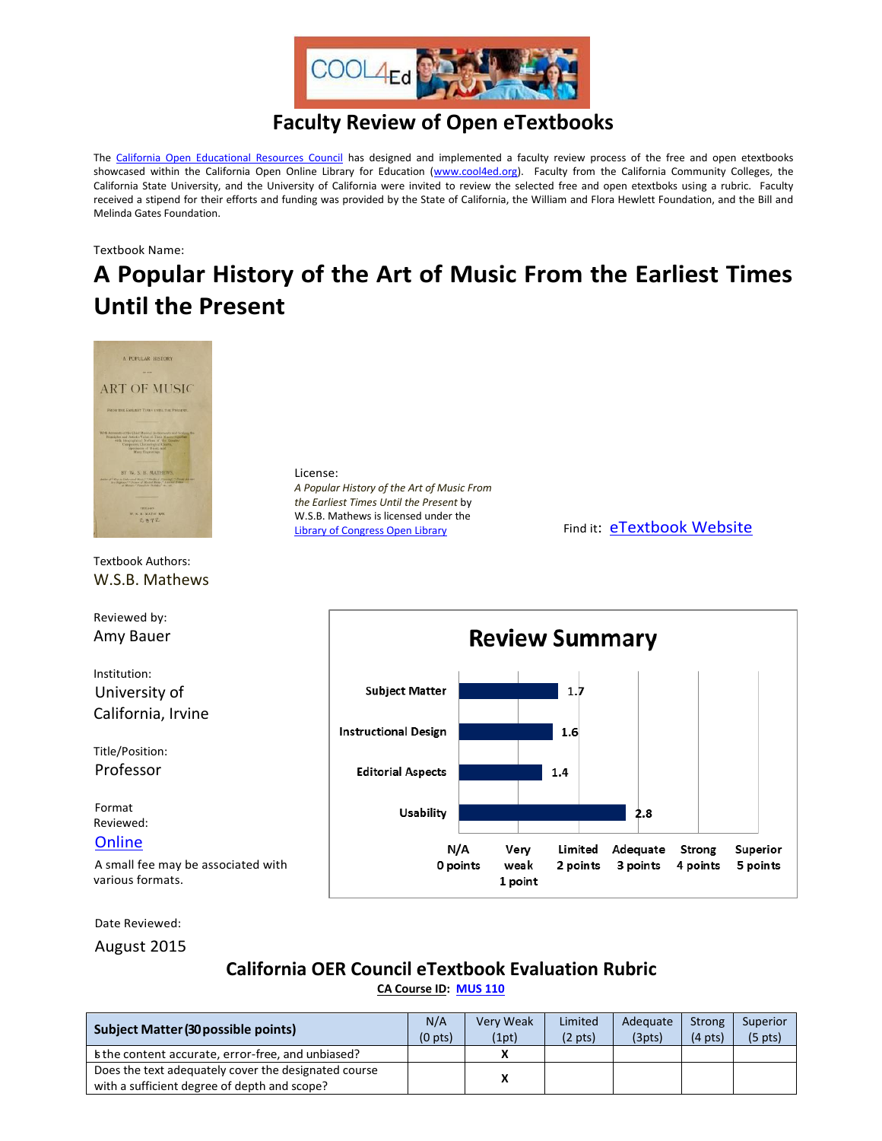

## **Faculty Review of Open eTextbooks**

The [California Open Educational Resources Council](http://icas-ca.org/coerc) has designed and implemented a faculty review process of the free and open etextbooks showcased within the California Open Online Library for Education [\(www.cool4ed.org\)](http://www.cool4ed.org/). Faculty from the California Community Colleges, the California State University, and the University of California were invited to review the selected free and open etextboks using a rubric. Faculty received a stipend for their efforts and funding was provided by the State of California, the William and Flora Hewlett Foundation, and the Bill and Melinda Gates Foundation.

Textbook Name:

## **A Popular History of the Art of Music From the Earliest Times Until the Present**



A small fee may be associated with various formats.

Date Reviewed:

August 2015

## **California OER Council eTextbook Evaluation Rubric**

0 points

weak

1 point

2 points

3 points

4 points

Superior

5 points

**[CA Course ID:](https://c-id.net/about.html) [MUS 110](https://c-id.net/descriptor_details.html?descriptor=347)**

| <b>Subject Matter (30 possible points)</b>           | N/A<br>$(0$ pts) | Very Weak<br>(1pt) | Limited<br>$(2 \text{ pts})$ | Adequate<br>(3pts) | Strong<br>$(4 \text{ pts})$ | Superior<br>$(5 \text{ pts})$ |
|------------------------------------------------------|------------------|--------------------|------------------------------|--------------------|-----------------------------|-------------------------------|
| s the content accurate, error-free, and unbiased?    |                  |                    |                              |                    |                             |                               |
| Does the text adequately cover the designated course |                  |                    |                              |                    |                             |                               |
| with a sufficient degree of depth and scope?         |                  |                    |                              |                    |                             |                               |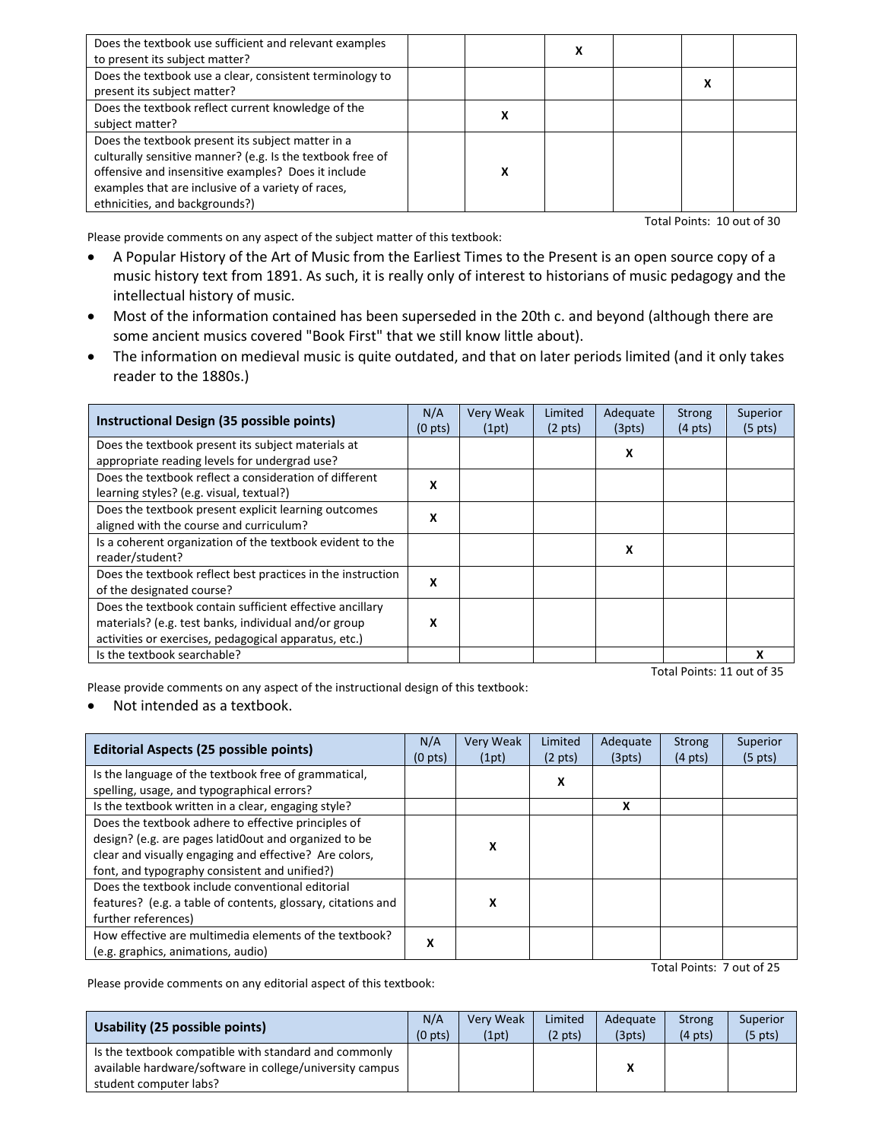| Does the textbook use sufficient and relevant examples<br>to present its subject matter?                                                                                                                                                                       |   |  |  |
|----------------------------------------------------------------------------------------------------------------------------------------------------------------------------------------------------------------------------------------------------------------|---|--|--|
| Does the textbook use a clear, consistent terminology to<br>present its subject matter?                                                                                                                                                                        |   |  |  |
| Does the textbook reflect current knowledge of the<br>subject matter?                                                                                                                                                                                          | х |  |  |
| Does the textbook present its subject matter in a<br>culturally sensitive manner? (e.g. Is the textbook free of<br>offensive and insensitive examples? Does it include<br>examples that are inclusive of a variety of races,<br>ethnicities, and backgrounds?) | χ |  |  |

Total Points: 10 out of 30

Please provide comments on any aspect of the subject matter of this textbook:

- A Popular History of the Art of Music from the Earliest Times to the Present is an open source copy of a music history text from 1891. As such, it is really only of interest to historians of music pedagogy and the intellectual history of music.
- Most of the information contained has been superseded in the 20th c. and beyond (although there are some ancient musics covered "Book First" that we still know little about).
- The information on medieval music is quite outdated, and that on later periods limited (and it only takes reader to the 1880s.)

| Instructional Design (35 possible points)                   | N/A<br>(0 <sub>pts</sub> ) | Very Weak<br>(1pt) | Limited<br>$(2 \text{ pts})$ | Adequate<br>(3pts) | <b>Strong</b><br>$(4 \text{ pts})$ | Superior<br>$(5 \text{ pts})$ |
|-------------------------------------------------------------|----------------------------|--------------------|------------------------------|--------------------|------------------------------------|-------------------------------|
| Does the textbook present its subject materials at          |                            |                    |                              | x                  |                                    |                               |
| appropriate reading levels for undergrad use?               |                            |                    |                              |                    |                                    |                               |
| Does the textbook reflect a consideration of different      | X                          |                    |                              |                    |                                    |                               |
| learning styles? (e.g. visual, textual?)                    |                            |                    |                              |                    |                                    |                               |
| Does the textbook present explicit learning outcomes        | X                          |                    |                              |                    |                                    |                               |
| aligned with the course and curriculum?                     |                            |                    |                              |                    |                                    |                               |
| Is a coherent organization of the textbook evident to the   |                            |                    |                              | X                  |                                    |                               |
| reader/student?                                             |                            |                    |                              |                    |                                    |                               |
| Does the textbook reflect best practices in the instruction | X                          |                    |                              |                    |                                    |                               |
| of the designated course?                                   |                            |                    |                              |                    |                                    |                               |
| Does the textbook contain sufficient effective ancillary    |                            |                    |                              |                    |                                    |                               |
| materials? (e.g. test banks, individual and/or group        | X                          |                    |                              |                    |                                    |                               |
| activities or exercises, pedagogical apparatus, etc.)       |                            |                    |                              |                    |                                    |                               |
| Is the textbook searchable?                                 |                            |                    |                              |                    |                                    |                               |

Total Points: 11 out of 35

Please provide comments on any aspect of the instructional design of this textbook:

Not intended as a textbook.

| <b>Editorial Aspects (25 possible points)</b>                                                                                                                                                                           |   | <b>Very Weak</b><br>(1pt) | Limited<br>$(2 \text{ pts})$ | Adequate<br>(3pts) | <b>Strong</b><br>$(4 \text{ pts})$ | Superior<br>$(5 \text{ pts})$ |
|-------------------------------------------------------------------------------------------------------------------------------------------------------------------------------------------------------------------------|---|---------------------------|------------------------------|--------------------|------------------------------------|-------------------------------|
| Is the language of the textbook free of grammatical,<br>spelling, usage, and typographical errors?                                                                                                                      |   |                           | x                            |                    |                                    |                               |
| Is the textbook written in a clear, engaging style?                                                                                                                                                                     |   |                           |                              | x                  |                                    |                               |
| Does the textbook adhere to effective principles of<br>design? (e.g. are pages latid0out and organized to be<br>clear and visually engaging and effective? Are colors,<br>font, and typography consistent and unified?) |   | x                         |                              |                    |                                    |                               |
| Does the textbook include conventional editorial<br>features? (e.g. a table of contents, glossary, citations and<br>further references)                                                                                 |   | X                         |                              |                    |                                    |                               |
| How effective are multimedia elements of the textbook?<br>(e.g. graphics, animations, audio)                                                                                                                            | x |                           |                              |                    |                                    |                               |

Total Points: 7 out of 25

Please provide comments on any editorial aspect of this textbook:

| Usability (25 possible points)                                                                                                              | N/A                 | <b>Verv Weak</b> | Limited           | Adequate | <b>Strong</b>     | Superior          |
|---------------------------------------------------------------------------------------------------------------------------------------------|---------------------|------------------|-------------------|----------|-------------------|-------------------|
|                                                                                                                                             | (0 <sub>pts</sub> ) | (1pt)            | $(2 \text{ pts})$ | (3pts)   | $(4 \text{ pts})$ | $(5 \text{ pts})$ |
| Is the textbook compatible with standard and commonly<br>available hardware/software in college/university campus<br>student computer labs? |                     |                  |                   |          |                   |                   |